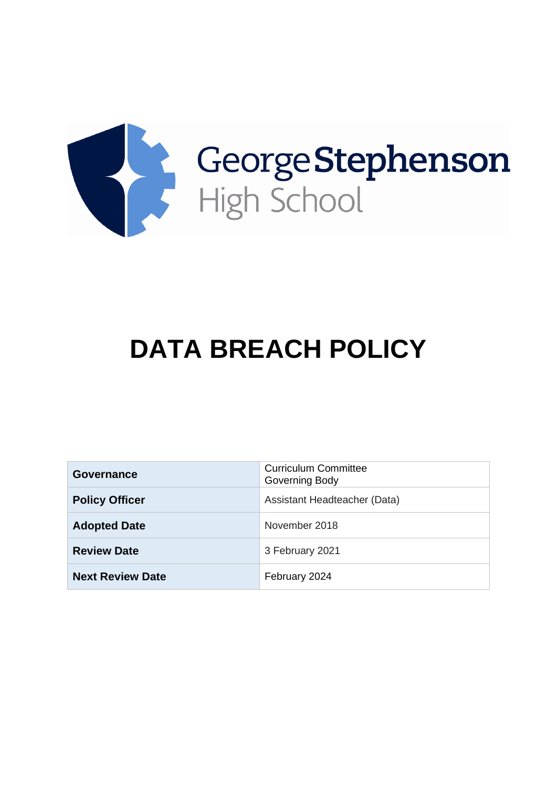

# **DATA BREACH POLICY**

| <b>Governance</b>       | <b>Curriculum Committee</b><br>Governing Body |
|-------------------------|-----------------------------------------------|
| <b>Policy Officer</b>   | Assistant Headteacher (Data)                  |
| <b>Adopted Date</b>     | November 2018                                 |
| <b>Review Date</b>      | 3 February 2021                               |
| <b>Next Review Date</b> | February 2024                                 |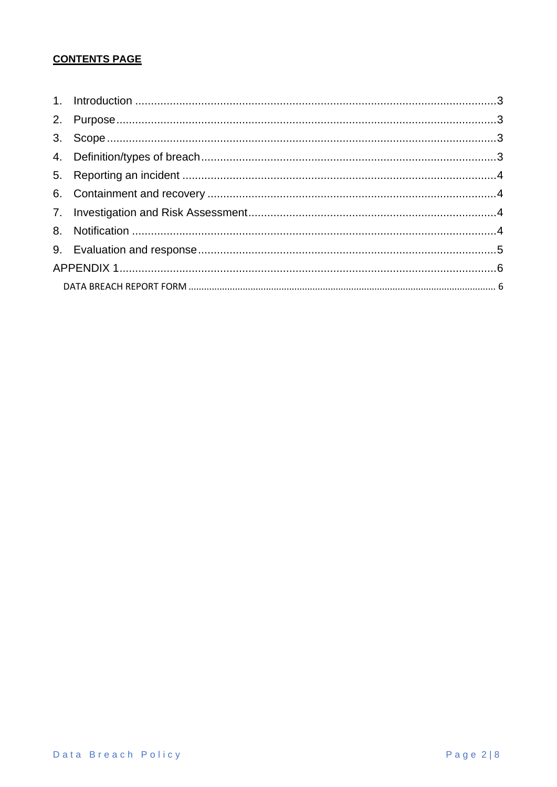# **CONTENTS PAGE**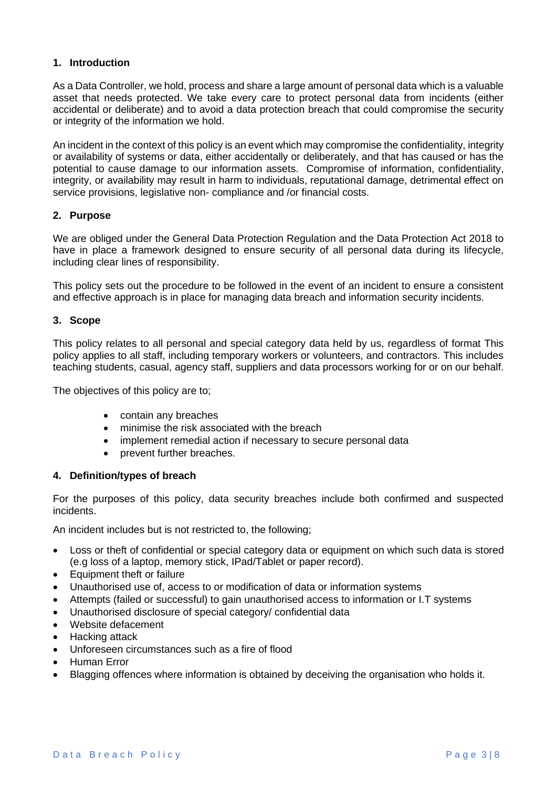#### <span id="page-2-0"></span>**1. Introduction**

As a Data Controller, we hold, process and share a large amount of personal data which is a valuable asset that needs protected. We take every care to protect personal data from incidents (either accidental or deliberate) and to avoid a data protection breach that could compromise the security or integrity of the information we hold.

An incident in the context of this policy is an event which may compromise the confidentiality, integrity or availability of systems or data, either accidentally or deliberately, and that has caused or has the potential to cause damage to our information assets. Compromise of information, confidentiality, integrity, or availability may result in harm to individuals, reputational damage, detrimental effect on service provisions, legislative non- compliance and /or financial costs.

#### <span id="page-2-1"></span>**2. Purpose**

We are obliged under the General Data Protection Regulation and the Data Protection Act 2018 to have in place a framework designed to ensure security of all personal data during its lifecycle, including clear lines of responsibility.

This policy sets out the procedure to be followed in the event of an incident to ensure a consistent and effective approach is in place for managing data breach and information security incidents.

#### <span id="page-2-2"></span>**3. Scope**

This policy relates to all personal and special category data held by us, regardless of format This policy applies to all staff, including temporary workers or volunteers, and contractors. This includes teaching students, casual, agency staff, suppliers and data processors working for or on our behalf.

The objectives of this policy are to;

- contain any breaches
- minimise the risk associated with the breach
- implement remedial action if necessary to secure personal data
- prevent further breaches.

#### <span id="page-2-3"></span>**4. Definition/types of breach**

For the purposes of this policy, data security breaches include both confirmed and suspected incidents.

An incident includes but is not restricted to, the following;

- Loss or theft of confidential or special category data or equipment on which such data is stored (e.g loss of a laptop, memory stick, IPad/Tablet or paper record).
- Equipment theft or failure
- Unauthorised use of, access to or modification of data or information systems
- Attempts (failed or successful) to gain unauthorised access to information or I.T systems
- Unauthorised disclosure of special category/ confidential data
- Website defacement
- Hacking attack
- Unforeseen circumstances such as a fire of flood
- Human Error
- Blagging offences where information is obtained by deceiving the organisation who holds it.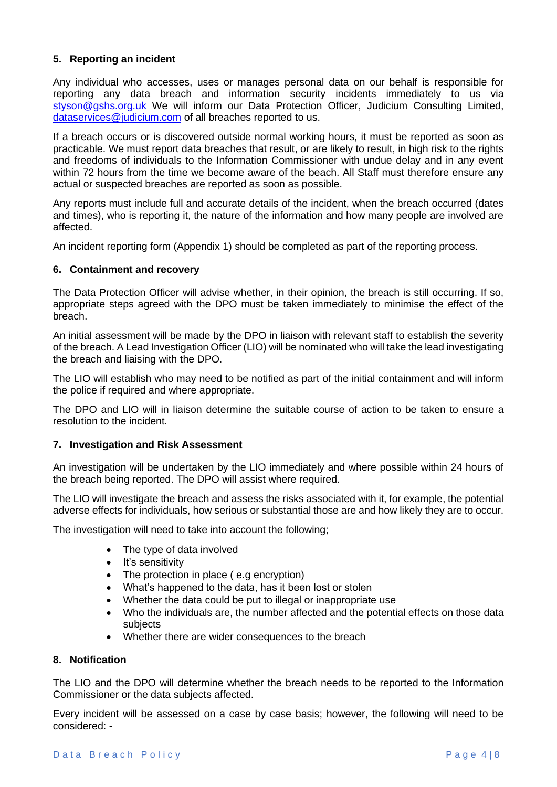#### <span id="page-3-0"></span>**5. Reporting an incident**

Any individual who accesses, uses or manages personal data on our behalf is responsible for reporting any data breach and information security incidents immediately to us via [styson@gshs.org.uk](mailto:styson@gshs.org.uk) We will inform our Data Protection Officer, Judicium Consulting Limited, [dataservices@judicium.com](mailto:dataservices@judicium.com) of all breaches reported to us.

If a breach occurs or is discovered outside normal working hours, it must be reported as soon as practicable. We must report data breaches that result, or are likely to result, in high risk to the rights and freedoms of individuals to the Information Commissioner with undue delay and in any event within 72 hours from the time we become aware of the beach. All Staff must therefore ensure any actual or suspected breaches are reported as soon as possible.

Any reports must include full and accurate details of the incident, when the breach occurred (dates and times), who is reporting it, the nature of the information and how many people are involved are affected.

An incident reporting form (Appendix 1) should be completed as part of the reporting process.

#### <span id="page-3-1"></span>**6. Containment and recovery**

The Data Protection Officer will advise whether, in their opinion, the breach is still occurring. If so, appropriate steps agreed with the DPO must be taken immediately to minimise the effect of the breach.

An initial assessment will be made by the DPO in liaison with relevant staff to establish the severity of the breach. A Lead Investigation Officer (LIO) will be nominated who will take the lead investigating the breach and liaising with the DPO.

The LIO will establish who may need to be notified as part of the initial containment and will inform the police if required and where appropriate.

The DPO and LIO will in liaison determine the suitable course of action to be taken to ensure a resolution to the incident.

#### <span id="page-3-2"></span>**7. Investigation and Risk Assessment**

An investigation will be undertaken by the LIO immediately and where possible within 24 hours of the breach being reported. The DPO will assist where required.

The LIO will investigate the breach and assess the risks associated with it, for example, the potential adverse effects for individuals, how serious or substantial those are and how likely they are to occur.

The investigation will need to take into account the following;

- The type of data involved
- It's sensitivity
- The protection in place (e.g encryption)
- What's happened to the data, has it been lost or stolen
- Whether the data could be put to illegal or inappropriate use
- Who the individuals are, the number affected and the potential effects on those data subjects
- Whether there are wider consequences to the breach

#### <span id="page-3-3"></span>**8. Notification**

The LIO and the DPO will determine whether the breach needs to be reported to the Information Commissioner or the data subjects affected.

Every incident will be assessed on a case by case basis; however, the following will need to be considered: -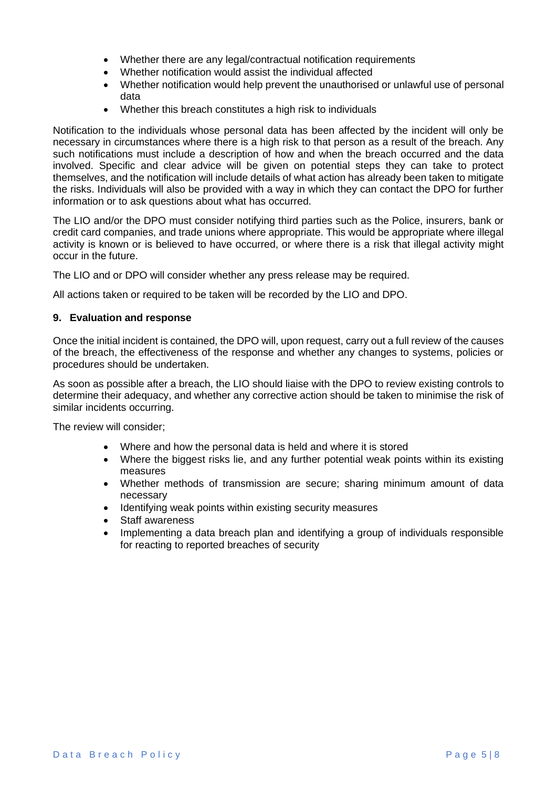- Whether there are any legal/contractual notification requirements
- Whether notification would assist the individual affected
- Whether notification would help prevent the unauthorised or unlawful use of personal data
- Whether this breach constitutes a high risk to individuals

Notification to the individuals whose personal data has been affected by the incident will only be necessary in circumstances where there is a high risk to that person as a result of the breach. Any such notifications must include a description of how and when the breach occurred and the data involved. Specific and clear advice will be given on potential steps they can take to protect themselves, and the notification will include details of what action has already been taken to mitigate the risks. Individuals will also be provided with a way in which they can contact the DPO for further information or to ask questions about what has occurred.

The LIO and/or the DPO must consider notifying third parties such as the Police, insurers, bank or credit card companies, and trade unions where appropriate. This would be appropriate where illegal activity is known or is believed to have occurred, or where there is a risk that illegal activity might occur in the future.

The LIO and or DPO will consider whether any press release may be required.

All actions taken or required to be taken will be recorded by the LIO and DPO.

#### <span id="page-4-0"></span>**9. Evaluation and response**

Once the initial incident is contained, the DPO will, upon request, carry out a full review of the causes of the breach, the effectiveness of the response and whether any changes to systems, policies or procedures should be undertaken.

As soon as possible after a breach, the LIO should liaise with the DPO to review existing controls to determine their adequacy, and whether any corrective action should be taken to minimise the risk of similar incidents occurring.

The review will consider;

- Where and how the personal data is held and where it is stored
- Where the biggest risks lie, and any further potential weak points within its existing measures
- Whether methods of transmission are secure; sharing minimum amount of data necessary
- Identifying weak points within existing security measures
- Staff awareness
- Implementing a data breach plan and identifying a group of individuals responsible for reacting to reported breaches of security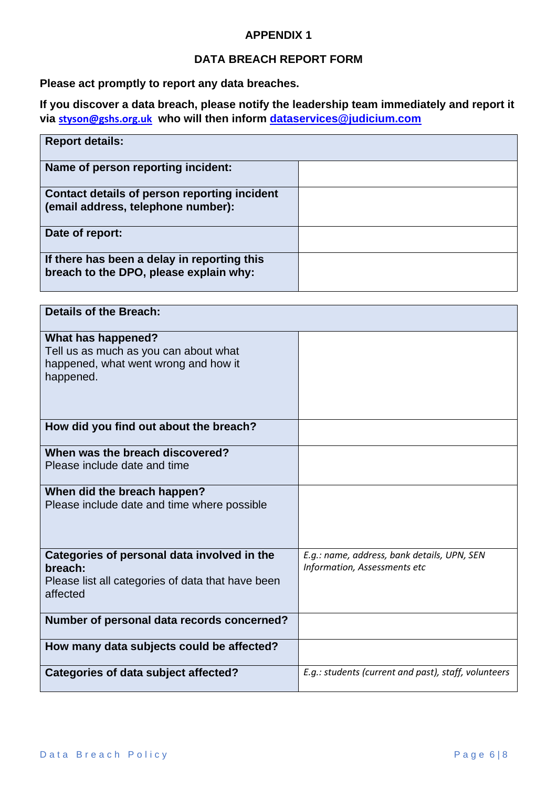### **APPENDIX 1**

## **DATA BREACH REPORT FORM**

<span id="page-5-1"></span><span id="page-5-0"></span>**Please act promptly to report any data breaches.** 

**If you discover a data breach, please notify the leadership team immediately and report it via [styson@gshs.org.uk](mailto:styson@gshs.org.uk) who will then inform [dataservices@judicium.com](mailto:dataservices@judicium.com)**

| <b>Report details:</b>                                                                |  |
|---------------------------------------------------------------------------------------|--|
| Name of person reporting incident:                                                    |  |
| Contact details of person reporting incident<br>(email address, telephone number):    |  |
| Date of report:                                                                       |  |
| If there has been a delay in reporting this<br>breach to the DPO, please explain why: |  |

| <b>Details of the Breach:</b>                                                                                           |                                                                             |
|-------------------------------------------------------------------------------------------------------------------------|-----------------------------------------------------------------------------|
| What has happened?<br>Tell us as much as you can about what<br>happened, what went wrong and how it<br>happened.        |                                                                             |
| How did you find out about the breach?                                                                                  |                                                                             |
| When was the breach discovered?<br>Please include date and time                                                         |                                                                             |
| When did the breach happen?<br>Please include date and time where possible                                              |                                                                             |
| Categories of personal data involved in the<br>breach:<br>Please list all categories of data that have been<br>affected | E.g.: name, address, bank details, UPN, SEN<br>Information, Assessments etc |
| Number of personal data records concerned?                                                                              |                                                                             |
| How many data subjects could be affected?                                                                               |                                                                             |
| <b>Categories of data subject affected?</b>                                                                             | E.g.: students (current and past), staff, volunteers                        |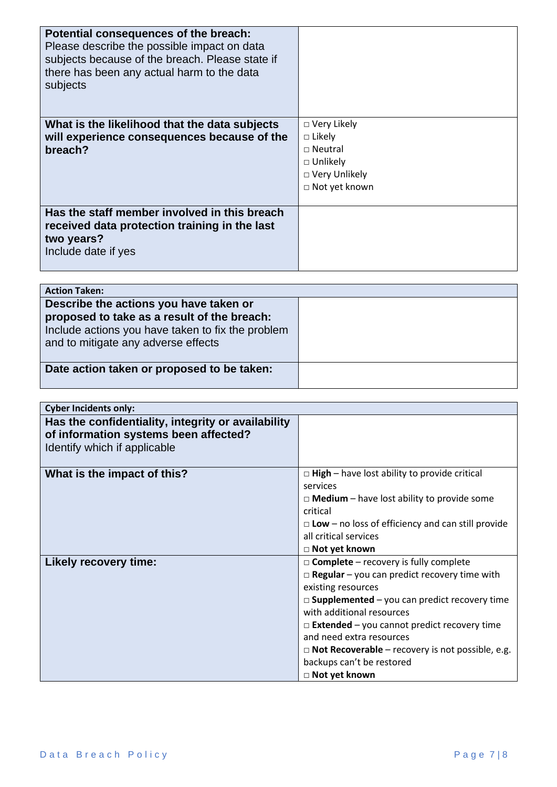| Potential consequences of the breach:<br>Please describe the possible impact on data<br>subjects because of the breach. Please state if<br>there has been any actual harm to the data<br>subjects |                                                                                                             |
|---------------------------------------------------------------------------------------------------------------------------------------------------------------------------------------------------|-------------------------------------------------------------------------------------------------------------|
| What is the likelihood that the data subjects<br>will experience consequences because of the<br>breach?                                                                                           | □ Very Likely<br>$\Box$ Likely<br>$\sqcap$ Neutral<br>$\Box$ Unlikely<br>□ Very Unlikely<br>□ Not yet known |
| Has the staff member involved in this breach<br>received data protection training in the last<br>two years?<br>Include date if yes                                                                |                                                                                                             |

| <b>Action Taken:</b>                                                                                                                                                              |  |
|-----------------------------------------------------------------------------------------------------------------------------------------------------------------------------------|--|
| Describe the actions you have taken or<br>proposed to take as a result of the breach:<br>Include actions you have taken to fix the problem<br>and to mitigate any adverse effects |  |
| Date action taken or proposed to be taken:                                                                                                                                        |  |

| <b>Cyber Incidents only:</b>                                                                                                |                                                           |
|-----------------------------------------------------------------------------------------------------------------------------|-----------------------------------------------------------|
| Has the confidentiality, integrity or availability<br>of information systems been affected?<br>Identify which if applicable |                                                           |
| What is the impact of this?                                                                                                 | $\Box$ High – have lost ability to provide critical       |
|                                                                                                                             | services                                                  |
|                                                                                                                             | $\Box$ Medium – have lost ability to provide some         |
|                                                                                                                             | critical                                                  |
|                                                                                                                             | $\Box$ Low – no loss of efficiency and can still provide  |
|                                                                                                                             | all critical services                                     |
|                                                                                                                             | □ Not yet known                                           |
| <b>Likely recovery time:</b>                                                                                                | $\Box$ Complete – recovery is fully complete              |
|                                                                                                                             | $\Box$ Regular – you can predict recovery time with       |
|                                                                                                                             | existing resources                                        |
|                                                                                                                             | $\Box$ Supplemented – you can predict recovery time       |
|                                                                                                                             | with additional resources                                 |
|                                                                                                                             | $\Box$ <b>Extended</b> – you cannot predict recovery time |
|                                                                                                                             | and need extra resources                                  |
|                                                                                                                             | $\Box$ Not Recoverable – recovery is not possible, e.g.   |
|                                                                                                                             | backups can't be restored                                 |
|                                                                                                                             | □ Not yet known                                           |